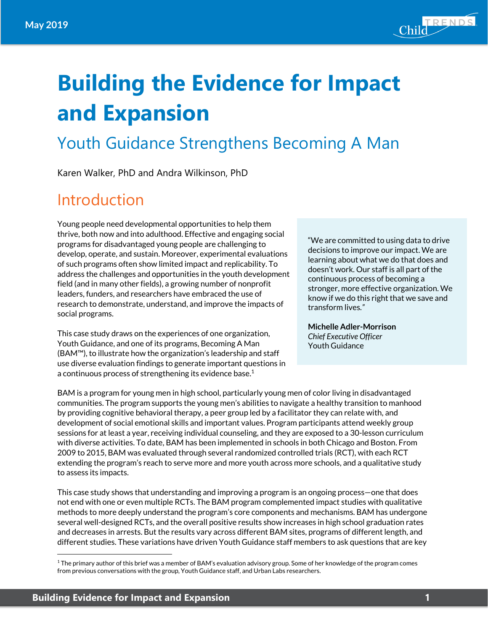

# **Building the Evidence for Impact and Expansion**

### Youth Guidance Strengthens Becoming A Man

Karen Walker, PhD and Andra Wilkinson, PhD

### Introduction

Young people need developmental opportunities to help them thrive, both now and into adulthood. Effective and engaging social programs for disadvantaged young people are challenging to develop, operate, and sustain. Moreover, experimental evaluations of such programs often show limited impact and replicability. To address the challenges and opportunities in the youth development field (and in many other fields), a growing number of nonprofit leaders, funders, and researchers have embraced the use of research to demonstrate, understand, and improve the impacts of social programs.

This case study draws on the experiences of one organization, Youth Guidance, and one of its programs, Becoming A Man (BAM™), to illustrate how the organization's leadership and staff use diverse evaluation findings to generate important questions in a continuous process of strengthening its evidence base.<sup>1</sup>

"We are committed to using data to drive decisions to improve our impact. We are learning about what we do that does and doesn't work. Our staff is all part of the continuous process of becoming a stronger, more effective organization. We know if we do this right that we save and transform lives*."*

**Michelle Adler-Morrison** *Chief Executive Officer* Youth Guidance

BAM is a program for young men in high school, particularly young men of color living in disadvantaged communities. The program supports the young men's abilities to navigate a healthy transition to manhood by providing cognitive behavioral therapy, a peer group led by a facilitator they can relate with, and development of social emotional skills and important values. Program participants attend weekly group sessions for at least a year, receiving individual counseling, and they are exposed to a 30-lesson curriculum with diverse activities. To date, BAM has been implemented in schools in both Chicago and Boston. From 2009 to 2015, BAM was evaluated through several randomized controlled trials (RCT), with each RCT extending the program's reach to serve more and more youth across more schools, and a qualitative study to assess its impacts.

This case study shows that understanding and improving a program is an ongoing process—one that does not end with one or even multiple RCTs. The BAM program complemented impact studies with qualitative methods to more deeply understand the program's core components and mechanisms. BAM has undergone several well-designed RCTs, and the overall positive results show increases in high school graduation rates and decreases in arrests. But the results vary across different BAM sites, programs of different length, and different studies. These variations have driven Youth Guidance staff members to ask questions that are key

 $\overline{a}$ 

 $1$  The primary author of this brief was a member of BAM's evaluation advisory group. Some of her knowledge of the program comes from previous conversations with the group, Youth Guidance staff, and Urban Labs researchers.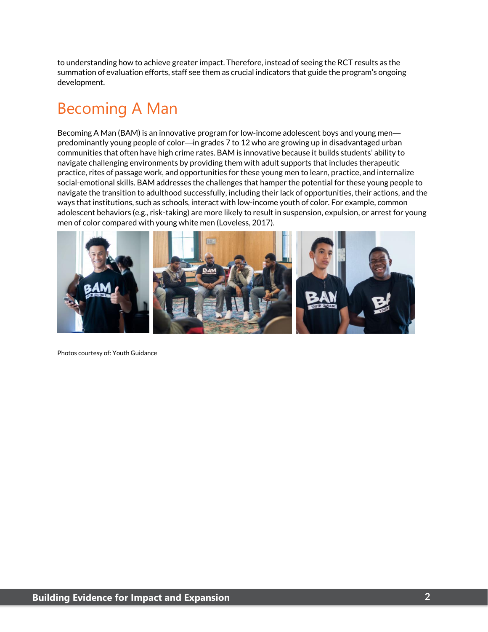to understanding how to achieve greater impact. Therefore, instead of seeing the RCT results as the summation of evaluation efforts, staff see them as crucial indicators that guide the program's ongoing development.

### Becoming A Man

Becoming A Man (BAM) is an innovative program for low-income adolescent boys and young men predominantly young people of color—in grades 7 to 12 who are growing up in disadvantaged urban communities that often have high crime rates. BAM is innovative because it builds students' ability to navigate challenging environments by providing them with adult supports that includes therapeutic practice, rites of passage work, and opportunities for these young men to learn, practice, and internalize social-emotional skills. BAM addresses the challenges that hamper the potential for these young people to navigate the transition to adulthood successfully, including their lack of opportunities, their actions, and the ways that institutions, such as schools, interact with low-income youth of color. For example, common adolescent behaviors (e.g., risk-taking) are more likely to result in suspension, expulsion, or arrest for young men of color compared with young white men (Loveless, 2017).



Photos courtesy of: Youth Guidance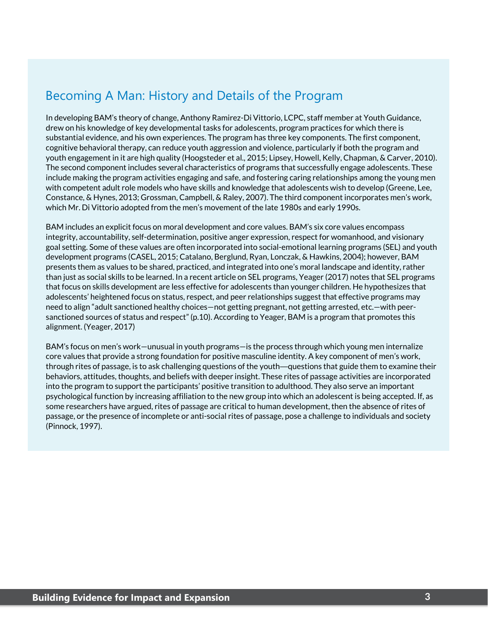### Becoming A Man: History and Details of the Program

In developing BAM's theory of change, Anthony Ramirez-Di Vittorio, LCPC, staff member at Youth Guidance, drew on his knowledge of key developmental tasks for adolescents, program practices for which there is substantial evidence, and his own experiences. The program has three key components. The first component, cognitive behavioral therapy, can reduce youth aggression and violence, particularly if both the program and youth engagement in it are high quality (Hoogsteder et al., 2015; Lipsey, Howell, Kelly, Chapman, & Carver, 2010). The second component includes several characteristics of programs that successfully engage adolescents. These include making the program activities engaging and safe, and fostering caring relationships among the young men with competent adult role models who have skills and knowledge that adolescents wish to develop (Greene, Lee, Constance, & Hynes, 2013; Grossman, Campbell, & Raley, 2007). The third component incorporates men's work, which Mr. Di Vittorio adopted from the men's movement of the late 1980s and early 1990s.

BAM includes an explicit focus on moral development and core values. BAM's six core values encompass integrity, accountability, self-determination, positive anger expression, respect for womanhood, and visionary goal setting. Some of these values are often incorporated into social-emotional learning programs (SEL) and youth development programs (CASEL, 2015; Catalano, Berglund, Ryan, Lonczak, & Hawkins, 2004); however, BAM presents them as values to be shared, practiced, and integrated into one's moral landscape and identity, rather than just as social skills to be learned. In a recent article on SEL programs, Yeager (2017) notes that SEL programs that focus on skills development are less effective for adolescents than younger children. He hypothesizes that adolescents' heightened focus on status, respect, and peer relationships suggest that effective programs may need to align "adult sanctioned healthy choices—not getting pregnant, not getting arrested, etc.—with peersanctioned sources of status and respect" (p.10). According to Yeager, BAM is a program that promotes this alignment. (Yeager, 2017)

BAM's focus on men's work—unusual in youth programs—is the process through which young men internalize core values that provide a strong foundation for positive masculine identity. A key component of men's work, through rites of passage, is to ask challenging questions of the youth—questions that guide them to examine their behaviors, attitudes, thoughts, and beliefs with deeper insight. These rites of passage activities are incorporated into the program to support the participants' positive transition to adulthood. They also serve an important psychological function by increasing affiliation to the new group into which an adolescent is being accepted. If, as some researchers have argued, rites of passage are critical to human development, then the absence of rites of passage, or the presence of incomplete or anti-social rites of passage, pose a challenge to individuals and society (Pinnock, 1997).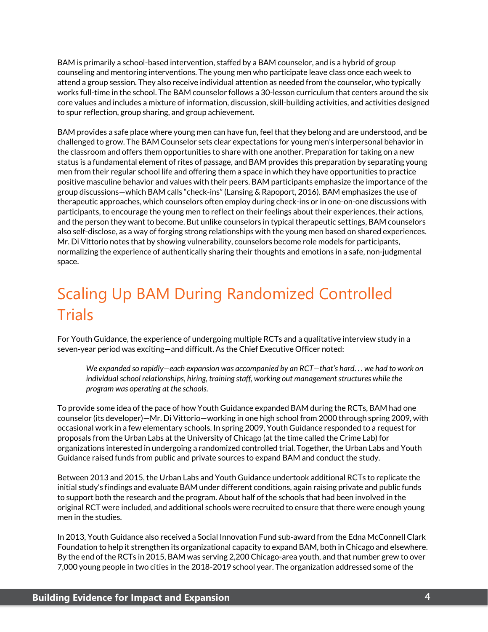BAM is primarily a school-based intervention, staffed by a BAM counselor, and is a hybrid of group counseling and mentoring interventions. The young men who participate leave class once each week to attend a group session. They also receive individual attention as needed from the counselor, who typically works full-time in the school. The BAM counselor follows a 30-lesson curriculum that centers around the six core values and includes a mixture of information, discussion, skill-building activities, and activities designed to spur reflection, group sharing, and group achievement.

BAM provides a safe place where young men can have fun, feel that they belong and are understood, and be challenged to grow. The BAM Counselor sets clear expectations for young men's interpersonal behavior in the classroom and offers them opportunities to share with one another. Preparation for taking on a new status is a fundamental element of rites of passage, and BAM provides this preparation by separating young men from their regular school life and offering them a space in which they have opportunities to practice positive masculine behavior and values with their peers. BAM participants emphasize the importance of the group discussions—which BAM calls "check-ins" (Lansing & Rapoport, 2016). BAM emphasizes the use of therapeutic approaches, which counselors often employ during check-ins or in one-on-one discussions with participants, to encourage the young men to reflect on their feelings about their experiences, their actions, and the person they want to become. But unlike counselors in typical therapeutic settings, BAM counselors also self-disclose, as a way of forging strong relationships with the young men based on shared experiences. Mr. Di Vittorio notes that by showing vulnerability, counselors become role models for participants, normalizing the experience of authentically sharing their thoughts and emotions in a safe, non-judgmental space.

## Scaling Up BAM During Randomized Controlled **Trials**

For Youth Guidance, the experience of undergoing multiple RCTs and a qualitative interview study in a seven-year period was exciting—and difficult. As the Chief Executive Officer noted:

*We expanded so rapidly—each expansion was accompanied by an RCT—that's hard. . . we had to work on individual school relationships, hiring, training staff, working out management structures while the program was operating at the schools.*

To provide some idea of the pace of how Youth Guidance expanded BAM during the RCTs, BAM had one counselor (its developer)—Mr. Di Vittorio—working in one high school from 2000 through spring 2009, with occasional work in a few elementary schools. In spring 2009, Youth Guidance responded to a request for proposals from the Urban Labs at the University of Chicago (at the time called the Crime Lab) for organizations interested in undergoing a randomized controlled trial. Together, the Urban Labs and Youth Guidance raised funds from public and private sources to expand BAM and conduct the study.

Between 2013 and 2015, the Urban Labs and Youth Guidance undertook additional RCTs to replicate the initial study's findings and evaluate BAM under different conditions, again raising private and public funds to support both the research and the program. About half of the schools that had been involved in the original RCT were included, and additional schools were recruited to ensure that there were enough young men in the studies.

In 2013, Youth Guidance also received a Social Innovation Fund sub-award from the Edna McConnell Clark Foundation to help it strengthen its organizational capacity to expand BAM, both in Chicago and elsewhere. By the end of the RCTs in 2015, BAM was serving 2,200 Chicago-area youth, and that number grew to over 7,000 young people in two cities in the 2018-2019 school year. The organization addressed some of the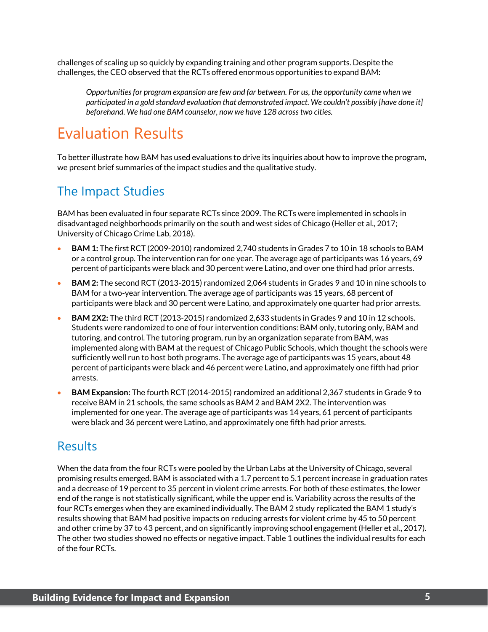challenges of scaling up so quickly by expanding training and other program supports. Despite the challenges, the CEO observed that the RCTs offered enormous opportunities to expand BAM:

*Opportunities for program expansion are few and far between. For us, the opportunity came when we participated in a gold standard evaluation that demonstrated impact. We couldn't possibly [have done it] beforehand. We had one BAM counselor, now we have 128 across two cities.* 

### Evaluation Results

To better illustrate how BAM has used evaluations to drive its inquiries about how to improve the program, we present brief summaries of the impact studies and the qualitative study.

#### The Impact Studies

BAM has been evaluated in four separate RCTs since 2009. The RCTs were implemented in schools in disadvantaged neighborhoods primarily on the south and west sides of Chicago (Heller et al., 2017; University of Chicago Crime Lab, 2018).

- **BAM 1:** The first RCT (2009-2010) randomized 2,740 students in Grades 7 to 10 in 18 schools to BAM or a control group. The intervention ran for one year. The average age of participants was 16 years, 69 percent of participants were black and 30 percent were Latino, and over one third had prior arrests.
- **BAM 2:** The second RCT (2013-2015) randomized 2,064 students in Grades 9 and 10 in nine schools to BAM for a two-year intervention. The average age of participants was 15 years, 68 percent of participants were black and 30 percent were Latino, and approximately one quarter had prior arrests.
- **BAM 2X2:** The third RCT (2013-2015) randomized 2,633 students in Grades 9 and 10 in 12 schools. Students were randomized to one of four intervention conditions: BAM only, tutoring only, BAM and tutoring, and control. The tutoring program, run by an organization separate from BAM, was implemented along with BAM at the request of Chicago Public Schools, which thought the schools were sufficiently well run to host both programs. The average age of participants was 15 years, about 48 percent of participants were black and 46 percent were Latino, and approximately one fifth had prior arrests.
- **BAM Expansion:** The fourth RCT (2014-2015) randomized an additional 2,367 students in Grade 9 to receive BAM in 21 schools, the same schools as BAM 2 and BAM 2X2. The intervention was implemented for one year. The average age of participants was 14 years, 61 percent of participants were black and 36 percent were Latino, and approximately one fifth had prior arrests.

#### Results

When the data from the four RCTs were pooled by the Urban Labs at the University of Chicago, several promising results emerged. BAM is associated with a 1.7 percent to 5.1 percent increase in graduation rates and a decrease of 19 percent to 35 percent in violent crime arrests. For both of these estimates, the lower end of the range is not statistically significant, while the upper end is. Variability across the results of the four RCTs emerges when they are examined individually. The BAM 2 study replicated the BAM 1 study's results showing that BAM had positive impacts on reducing arrests for violent crime by 45 to 50 percent and other crime by 37 to 43 percent, and on significantly improving school engagement (Heller et al., 2017). The other two studies showed no effects or negative impact. Table 1 outlines the individual results for each of the four RCTs.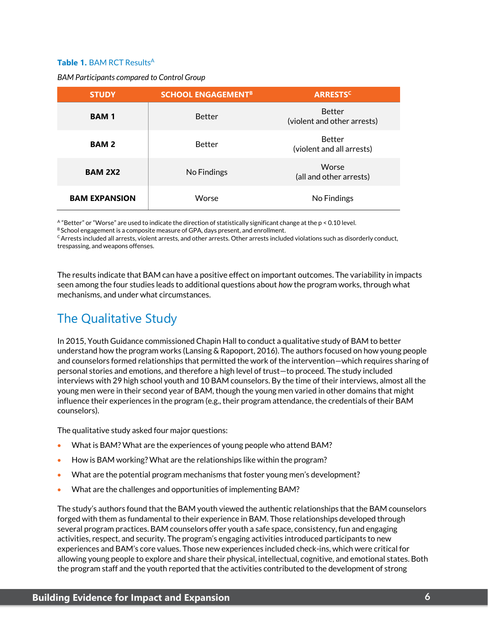#### **Table 1. BAM RCT Results<sup>A</sup>**

*BAM Participants compared to Control Group*

| <b>STUDY</b>         | <b>SCHOOL ENGAGEMENT<sup>B</sup></b> | <b>ARRESTS<sup>C</sup></b>                   |
|----------------------|--------------------------------------|----------------------------------------------|
| <b>BAM1</b>          | <b>Better</b>                        | <b>Better</b><br>(violent and other arrests) |
| <b>BAM2</b>          | <b>Better</b>                        | <b>Better</b><br>(violent and all arrests)   |
| <b>BAM 2X2</b>       | No Findings                          | Worse<br>(all and other arrests)             |
| <b>BAM EXPANSION</b> | Worse                                | No Findings                                  |

A "Better" or "Worse" are used to indicate the direction of statistically significant change at the p < 0.10 level.

B School engagement is a composite measure of GPA, days present, and enrollment.

 $c$  Arrests included all arrests, violent arrests, and other arrests. Other arrests included violations such as disorderly conduct, trespassing, and weapons offenses.

The results indicate that BAM can have a positive effect on important outcomes. The variability in impacts seen among the four studies leads to additional questions about *how* the program works, through what mechanisms, and under what circumstances.

### The Qualitative Study

In 2015, Youth Guidance commissioned Chapin Hall to conduct a qualitative study of BAM to better understand how the program works (Lansing & Rapoport, 2016). The authors focused on how young people and counselors formed relationships that permitted the work of the intervention—which requires sharing of personal stories and emotions, and therefore a high level of trust—to proceed. The study included interviews with 29 high school youth and 10 BAM counselors. By the time of their interviews, almost all the young men were in their second year of BAM, though the young men varied in other domains that might influence their experiences in the program (e.g., their program attendance, the credentials of their BAM counselors).

The qualitative study asked four major questions:

- What is BAM? What are the experiences of young people who attend BAM?
- How is BAM working? What are the relationships like within the program?
- What are the potential program mechanisms that foster young men's development?
- What are the challenges and opportunities of implementing BAM?

The study's authors found that the BAM youth viewed the authentic relationships that the BAM counselors forged with them as fundamental to their experience in BAM. Those relationships developed through several program practices. BAM counselors offer youth a safe space, consistency, fun and engaging activities, respect, and security. The program's engaging activities introduced participants to new experiences and BAM's core values. Those new experiences included check-ins, which were critical for allowing young people to explore and share their physical, intellectual, cognitive, and emotional states. Both the program staff and the youth reported that the activities contributed to the development of strong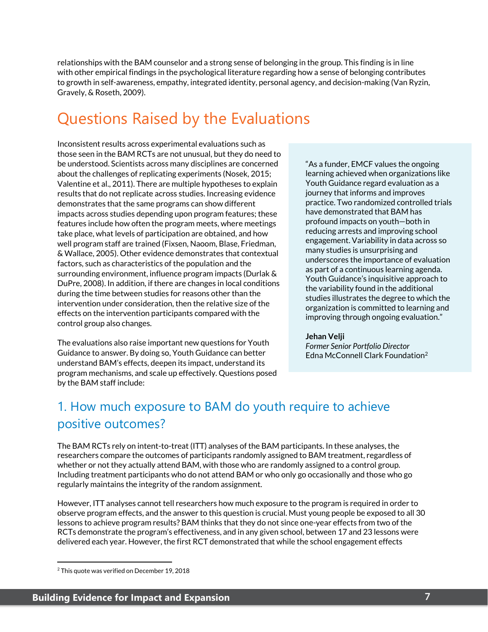relationships with the BAM counselor and a strong sense of belonging in the group. This finding is in line with other empirical findings in the psychological literature regarding how a sense of belonging contributes to growth in self-awareness, empathy, integrated identity, personal agency, and decision-making (Van Ryzin, Gravely, & Roseth, 2009).

### Questions Raised by the Evaluations

Inconsistent results across experimental evaluations such as those seen in the BAM RCTs are not unusual, but they do need to be understood. Scientists across many disciplines are concerned about the challenges of replicating experiments (Nosek, 2015; Valentine et al., 2011). There are multiple hypotheses to explain results that do not replicate across studies. Increasing evidence demonstrates that the same programs can show different impacts across studies depending upon program features; these features include how often the program meets, where meetings take place, what levels of participation are obtained, and how well program staff are trained (Fixsen, Naoom, Blase, Friedman, & Wallace, 2005). Other evidence demonstrates that contextual factors, such as characteristics of the population and the surrounding environment, influence program impacts (Durlak & DuPre, 2008). In addition, if there are changes in local conditions during the time between studies for reasons other than the intervention under consideration, then the relative size of the effects on the intervention participants compared with the control group also changes.

The evaluations also raise important new questions for Youth Guidance to answer. By doing so, Youth Guidance can better understand BAM's effects, deepen its impact, understand its program mechanisms, and scale up effectively. Questions posed by the BAM staff include:

"As a funder, EMCF values the ongoing learning achieved when organizations like Youth Guidance regard evaluation as a journey that informs and improves practice. Two randomized controlled trials have demonstrated that BAM has profound impacts on youth—both in reducing arrests and improving school engagement. Variability in data across so many studies is unsurprising and underscores the importance of evaluation as part of a continuous learning agenda. Youth Guidance's inquisitive approach to the variability found in the additional studies illustrates the degree to which the organization is committed to learning and improving through ongoing evaluation."

#### **Jehan Velji**

*Former Senior Portfolio Director* Edna McConnell Clark Foundation2

### 1. How much exposure to BAM do youth require to achieve positive outcomes?

The BAM RCTs rely on intent-to-treat (ITT) analyses of the BAM participants. In these analyses, the researchers compare the outcomes of participants randomly assigned to BAM treatment, regardless of whether or not they actually attend BAM, with those who are randomly assigned to a control group. Including treatment participants who do not attend BAM or who only go occasionally and those who go regularly maintains the integrity of the random assignment. <sup>2</sup>

However, ITT analyses cannot tell researchers how much exposure to the program is required in order to observe program effects, and the answer to this question is crucial. Must young people be exposed to all 30 lessons to achieve program results? BAM thinks that they do not since one-year effects from two of the RCTs demonstrate the program's effectiveness, and in any given school, between 17 and 23 lessons were delivered each year. However, the first RCT demonstrated that while the school engagement effects

 $\overline{a}$ 

<sup>&</sup>lt;sup>2</sup> This quote was verified on December 19, 2018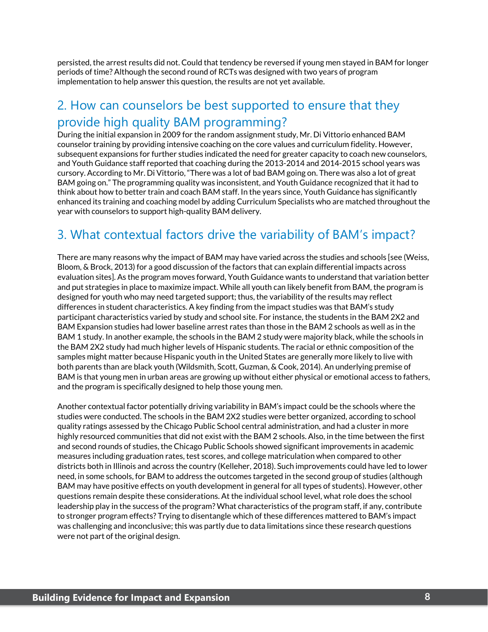persisted, the arrest results did not. Could that tendency be reversed if young men stayed in BAM for longer periods of time? Although the second round of RCTs was designed with two years of program implementation to help answer this question, the results are not yet available.

#### 2. How can counselors be best supported to ensure that they provide high quality BAM programming?

During the initial expansion in 2009 for the random assignment study, Mr. Di Vittorio enhanced BAM counselor training by providing intensive coaching on the core values and curriculum fidelity. However, subsequent expansions for further studies indicated the need for greater capacity to coach new counselors, and Youth Guidance staff reported that coaching during the 2013-2014 and 2014-2015 school years was cursory. According to Mr. Di Vittorio, "There was a lot of bad BAM going on. There was also a lot of great BAM going on." The programming quality was inconsistent, and Youth Guidance recognized that it had to think about how to better train and coach BAM staff. In the years since, Youth Guidance has significantly enhanced its training and coaching model by adding Curriculum Specialists who are matched throughout the year with counselors to support high-quality BAM delivery.

### 3. What contextual factors drive the variability of BAM's impact?

There are many reasons why the impact of BAM may have varied across the studies and schools [see (Weiss, Bloom, & Brock, 2013) for a good discussion of the factors that can explain differential impacts across evaluation sites]. As the program moves forward, Youth Guidance wants to understand that variation better and put strategies in place to maximize impact. While all youth can likely benefit from BAM, the program is designed for youth who may need targeted support; thus, the variability of the results may reflect differences in student characteristics. A key finding from the impact studies was that BAM's study participant characteristics varied by study and school site. For instance, the students in the BAM 2X2 and BAM Expansion studies had lower baseline arrest rates than those in the BAM 2 schools as well as in the BAM 1 study. In another example, the schools in the BAM 2 study were majority black, while the schools in the BAM 2X2 study had much higher levels of Hispanic students. The racial or ethnic composition of the samples might matter because Hispanic youth in the United States are generally more likely to live with both parents than are black youth (Wildsmith, Scott, Guzman, & Cook, 2014). An underlying premise of BAM is that young men in urban areas are growing up without either physical or emotional access to fathers, and the program is specifically designed to help those young men.

Another contextual factor potentially driving variability in BAM's impact could be the schools where the studies were conducted. The schools in the BAM 2X2 studies were better organized, according to school quality ratings assessed by the Chicago Public School central administration, and had a cluster in more highly resourced communities that did not exist with the BAM 2 schools. Also, in the time between the first and second rounds of studies, the Chicago Public Schools showed significant improvements in academic measures including graduation rates, test scores, and college matriculation when compared to other districts both in Illinois and across the country (Kelleher, 2018). Such improvements could have led to lower need, in some schools, for BAM to address the outcomes targeted in the second group of studies (although BAM may have positive effects on youth development in general for all types of students). However, other questions remain despite these considerations. At the individual school level, what role does the school leadership play in the success of the program? What characteristics of the program staff, if any, contribute to stronger program effects? Trying to disentangle which of these differences mattered to BAM's impact was challenging and inconclusive; this was partly due to data limitations since these research questions were not part of the original design.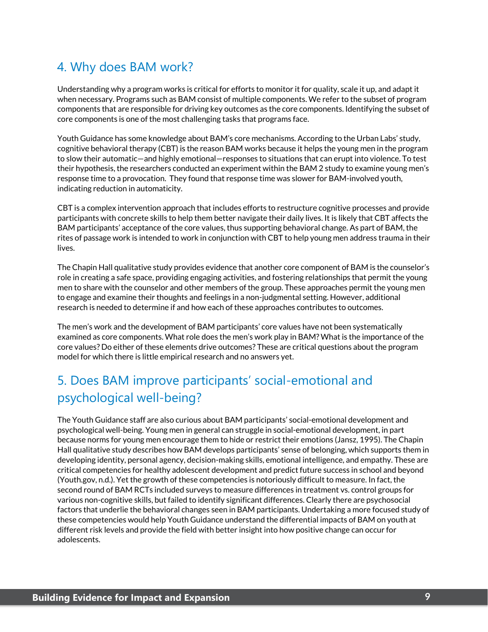#### 4. Why does BAM work?

Understanding why a program works is critical for efforts to monitor it for quality, scale it up, and adapt it when necessary. Programs such as BAM consist of multiple components. We refer to the subset of program components that are responsible for driving key outcomes as the core components. Identifying the subset of core components is one of the most challenging tasks that programs face.

Youth Guidance has some knowledge about BAM's core mechanisms. According to the Urban Labs' study, cognitive behavioral therapy (CBT) is the reason BAM works because it helps the young men in the program to slow their automatic—and highly emotional—responses to situations that can erupt into violence. To test their hypothesis, the researchers conducted an experiment within the BAM 2 study to examine young men's response time to a provocation. They found that response time was slower for BAM-involved youth, indicating reduction in automaticity.

CBT is a complex intervention approach that includes efforts to restructure cognitive processes and provide participants with concrete skills to help them better navigate their daily lives. It is likely that CBT affects the BAM participants' acceptance of the core values, thus supporting behavioral change. As part of BAM, the rites of passage work is intended to work in conjunction with CBT to help young men address trauma in their lives.

The Chapin Hall qualitative study provides evidence that another core component of BAM is the counselor's role in creating a safe space, providing engaging activities, and fostering relationships that permit the young men to share with the counselor and other members of the group. These approaches permit the young men to engage and examine their thoughts and feelings in a non-judgmental setting. However, additional research is needed to determine if and how each of these approaches contributes to outcomes.

The men's work and the development of BAM participants' core values have not been systematically examined as core components. What role does the men's work play in BAM? What is the importance of the core values? Do either of these elements drive outcomes? These are critical questions about the program model for which there is little empirical research and no answers yet.

### 5. Does BAM improve participants' social-emotional and psychological well-being?

The Youth Guidance staff are also curious about BAM participants' social-emotional development and psychological well-being. Young men in general can struggle in social-emotional development, in part because norms for young men encourage them to hide or restrict their emotions (Jansz, 1995). The Chapin Hall qualitative study describes how BAM develops participants' sense of belonging, which supports them in developing identity, personal agency, decision-making skills, emotional intelligence, and empathy. These are critical competencies for healthy adolescent development and predict future success in school and beyond (Youth.gov, n.d.). Yet the growth of these competencies is notoriously difficult to measure. In fact, the second round of BAM RCTs included surveys to measure differences in treatment vs. control groups for various non-cognitive skills, but failed to identify significant differences. Clearly there are psychosocial factors that underlie the behavioral changes seen in BAM participants. Undertaking a more focused study of these competencies would help Youth Guidance understand the differential impacts of BAM on youth at different risk levels and provide the field with better insight into how positive change can occur for adolescents.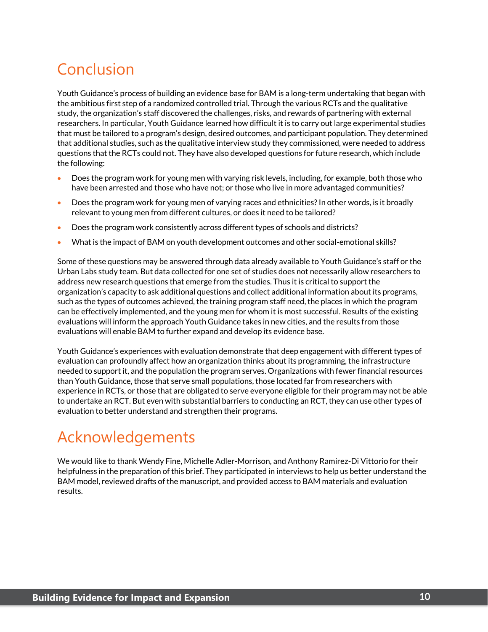## Conclusion

Youth Guidance's process of building an evidence base for BAM is a long-term undertaking that began with the ambitious first step of a randomized controlled trial. Through the various RCTs and the qualitative study, the organization's staff discovered the challenges, risks, and rewards of partnering with external researchers. In particular, Youth Guidance learned how difficult it is to carry out large experimental studies that must be tailored to a program's design, desired outcomes, and participant population. They determined that additional studies, such as the qualitative interview study they commissioned, were needed to address questions that the RCTs could not. They have also developed questions for future research, which include the following:

- Does the program work for young men with varying risk levels, including, for example, both those who have been arrested and those who have not; or those who live in more advantaged communities?
- Does the program work for young men of varying races and ethnicities? In other words, is it broadly relevant to young men from different cultures, or does it need to be tailored?
- Does the program work consistently across different types of schools and districts?
- What is the impact of BAM on youth development outcomes and other social-emotional skills?

Some of these questions may be answered through data already available to Youth Guidance's staff or the Urban Labs study team. But data collected for one set of studies does not necessarily allow researchers to address new research questions that emerge from the studies. Thus it is critical to support the organization's capacity to ask additional questions and collect additional information about its programs, such as the types of outcomes achieved, the training program staff need, the places in which the program can be effectively implemented, and the young men for whom it is most successful. Results of the existing evaluations will inform the approach Youth Guidance takes in new cities, and the results from those evaluations will enable BAM to further expand and develop its evidence base.

Youth Guidance's experiences with evaluation demonstrate that deep engagement with different types of evaluation can profoundly affect how an organization thinks about its programming, the infrastructure needed to support it, and the population the program serves. Organizations with fewer financial resources than Youth Guidance, those that serve small populations, those located far from researchers with experience in RCTs, or those that are obligated to serve everyone eligible for their program may not be able to undertake an RCT. But even with substantial barriers to conducting an RCT, they can use other types of evaluation to better understand and strengthen their programs.

### Acknowledgements

We would like to thank Wendy Fine, Michelle Adler-Morrison, and Anthony Ramirez-Di Vittorio for their helpfulness in the preparation of this brief. They participated in interviews to help us better understand the BAM model, reviewed drafts of the manuscript, and provided access to BAM materials and evaluation results.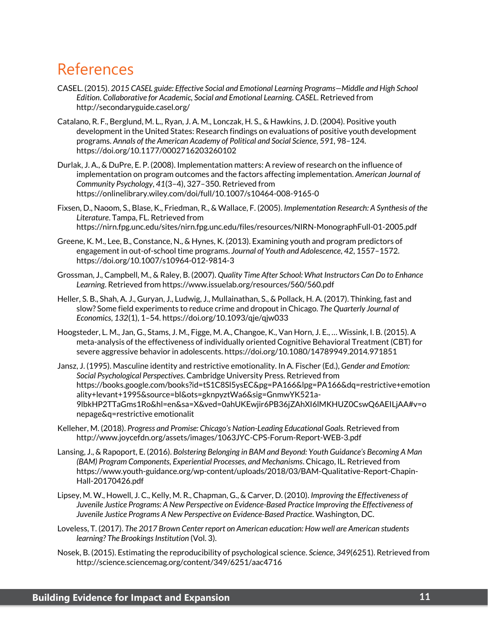### References

- CASEL. (2015). *2015 CASEL guide: Effective Social and Emotional Learning Programs—Middle and High School Edition*. *Collaborative for Academic, Social and Emotional Learning. CASEL*. Retrieved from http://secondaryguide.casel.org/
- Catalano, R. F., Berglund, M. L., Ryan, J. A. M., Lonczak, H. S., & Hawkins, J. D. (2004). Positive youth development in the United States: Research findings on evaluations of positive youth development programs. *Annals of the American Academy of Political and Social Science*, *591*, 98–124. https://doi.org/10.1177/0002716203260102
- Durlak, J. A., & DuPre, E. P. (2008). Implementation matters: A review of research on the influence of implementation on program outcomes and the factors affecting implementation. *American Journal of Community Psychology*, *41*(3–4), 327–350. Retrieved from https://onlinelibrary.wiley.com/doi/full/10.1007/s10464-008-9165-0
- Fixsen, D., Naoom, S., Blase, K., Friedman, R., & Wallace, F. (2005). *Implementation Research: A Synthesis of the Literature*. Tampa, FL. Retrieved from https://nirn.fpg.unc.edu/sites/nirn.fpg.unc.edu/files/resources/NIRN-MonographFull-01-2005.pdf
- Greene, K. M., Lee, B., Constance, N., & Hynes, K. (2013). Examining youth and program predictors of engagement in out-of-school time programs. *Journal of Youth and Adolescence*, *42*, 1557–1572. https://doi.org/10.1007/s10964-012-9814-3
- Grossman, J., Campbell, M., & Raley, B. (2007). *Quality Time After School: What Instructors Can Do to Enhance Learning*. Retrieved from https://www.issuelab.org/resources/560/560.pdf
- Heller, S. B., Shah, A. J., Guryan, J., Ludwig, J., Mullainathan, S., & Pollack, H. A. (2017). Thinking, fast and slow? Some field experiments to reduce crime and dropout in Chicago. *The Quarterly Journal of Economics*, *132*(1), 1–54. https://doi.org/10.1093/qje/qjw033
- Hoogsteder, L. M., Jan, G., Stams, J. M., Figge, M. A., Changoe, K., Van Horn, J. E., … Wissink, I. B. (2015). A meta-analysis of the effectiveness of individually oriented Cognitive Behavioral Treatment (CBT) for severe aggressive behavior in adolescents. https://doi.org/10.1080/14789949.2014.971851
- Jansz, J. (1995). Masculine identity and restrictive emotionality. In A. Fischer (Ed.), *Gender and Emotion: Social Psychological Perspectives*. Cambridge University Press. Retrieved from https://books.google.com/books?id=tS1C8Sl5ysEC&pg=PA166&lpg=PA166&dq=restrictive+emotion ality+levant+1995&source=bl&ots=gknpyztWa6&sig=GnmwYK521a-9lbkHP2TTaGms1Ro&hl=en&sa=X&ved=0ahUKEwjir6PB36jZAhXI6lMKHUZ0CswQ6AEILjAA#v=o nepage&q=restrictive emotionalit
- Kelleher, M. (2018). *Progress and Promise: Chicago's Nation-Leading Educational Goals*. Retrieved from http://www.joycefdn.org/assets/images/1063JYC-CPS-Forum-Report-WEB-3.pdf
- Lansing, J., & Rapoport, E. (2016). *Bolstering Belonging in BAM and Beyond: Youth Guidance's Becoming A Man (BAM) Program Components, Experiential Processes, and Mechanisms*. Chicago, IL. Retrieved from https://www.youth-guidance.org/wp-content/uploads/2018/03/BAM-Qualitative-Report-Chapin-Hall-20170426.pdf
- Lipsey, M. W., Howell, J. C., Kelly, M. R., Chapman, G., & Carver, D. (2010). *Improving the Effectiveness of Juvenile Justice Programs: A New Perspective on Evidence-Based Practice Improving the Effectiveness of Juvenile Justice Programs A New Perspective on Evidence-Based Practice*. Washington, DC.
- Loveless, T. (2017). *The 2017 Brown Center report on American education: How well are American students learning? The Brookings Institution* (Vol. 3).
- Nosek, B. (2015). Estimating the reproducibility of psychological science. *Science*, *349*(6251). Retrieved from http://science.sciencemag.org/content/349/6251/aac4716